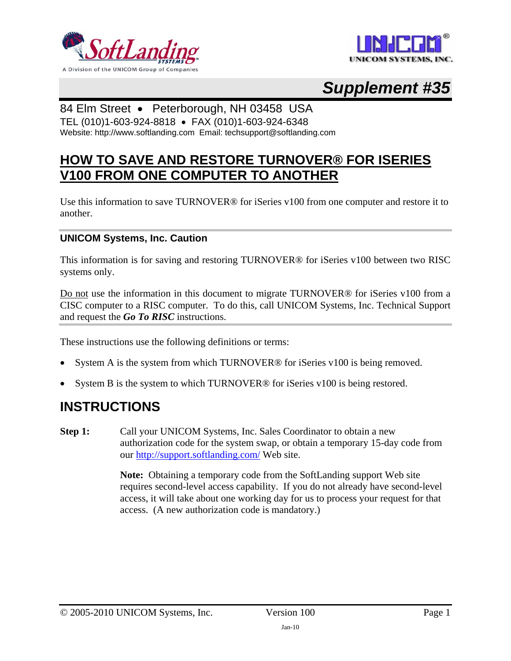



# *Supplement #35*

### 84 Elm Street • Peterborough, NH 03458 USA

TEL (010)1-603-924-8818 • FAX (010)1-603-924-6348 Website: http://www.softlanding.com Email: techsupport@softlanding.com

## **HOW TO SAVE AND RESTORE TURNOVER® FOR ISERIES V100 FROM ONE COMPUTER TO ANOTHER**

Use this information to save TURNOVER<sup>®</sup> for iSeries v100 from one computer and restore it to another.

#### **UNICOM Systems, Inc. Caution**

This information is for saving and restoring TURNOVER® for iSeries v100 between two RISC systems only.

Do not use the information in this document to migrate TURNOVER® for iSeries v100 from a CISC computer to a RISC computer. To do this, call UNICOM Systems, Inc. Technical Support and request the *Go To RISC* instructions.

These instructions use the following definitions or terms:

- System A is the system from which TURNOVER<sup>®</sup> for iSeries v100 is being removed.
- System B is the system to which TURNOVER® for iSeries v100 is being restored.

## **INSTRUCTIONS**

**Step 1:** Call your UNICOM Systems, Inc. Sales Coordinator to obtain a new authorization code for the system swap, or obtain a temporary 15-day code from our<http://support.softlanding.com/>Web site.

> **Note:** Obtaining a temporary code from the SoftLanding support Web site requires second-level access capability. If you do not already have second-level access, it will take about one working day for us to process your request for that access. (A new authorization code is mandatory.)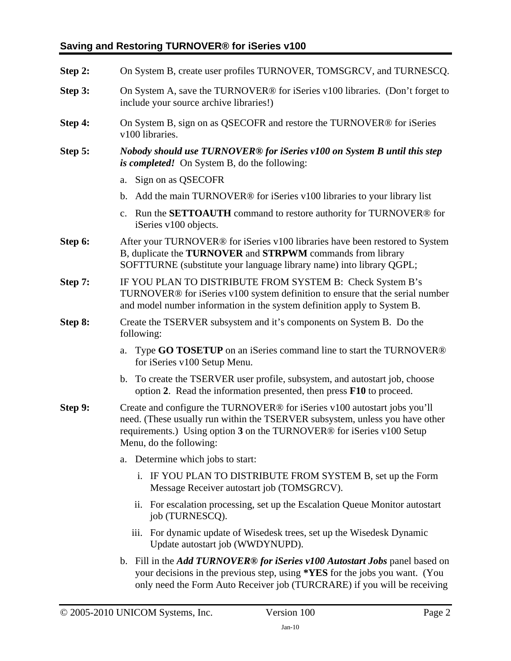#### **Saving and Restoring TURNOVER® for iSeries v100**

| Step 2: | On System B, create user profiles TURNOVER, TOMSGRCV, and TURNESCQ.                                                                                                                                                                                                            |
|---------|--------------------------------------------------------------------------------------------------------------------------------------------------------------------------------------------------------------------------------------------------------------------------------|
| Step 3: | On System A, save the TURNOVER® for iSeries v100 libraries. (Don't forget to<br>include your source archive libraries!)                                                                                                                                                        |
| Step 4: | On System B, sign on as QSECOFR and restore the TURNOVER® for iSeries<br>v100 libraries.                                                                                                                                                                                       |
| Step 5: | Nobody should use TURNOVER® for iSeries v100 on System B until this step<br>is completed! On System B, do the following:                                                                                                                                                       |
|         | Sign on as QSECOFR<br>a.                                                                                                                                                                                                                                                       |
|         | Add the main TURNOVER® for iSeries v100 libraries to your library list<br>$\mathbf{b}$ .                                                                                                                                                                                       |
|         | Run the <b>SETTOAUTH</b> command to restore authority for TURNOVER <sup>®</sup> for<br>c.<br>iSeries v100 objects.                                                                                                                                                             |
| Step 6: | After your TURNOVER <sup>®</sup> for iSeries v100 libraries have been restored to System<br>B, duplicate the TURNOVER and STRPWM commands from library<br>SOFTTURNE (substitute your language library name) into library QGPL;                                                 |
| Step 7: | IF YOU PLAN TO DISTRIBUTE FROM SYSTEM B: Check System B's<br>TURNOVER <sup>®</sup> for iSeries v100 system definition to ensure that the serial number<br>and model number information in the system definition apply to System B.                                             |
| Step 8: | Create the TSERVER subsystem and it's components on System B. Do the<br>following:                                                                                                                                                                                             |
|         | Type <b>GO TOSETUP</b> on an iSeries command line to start the TURNOVER <sup>®</sup><br>a.<br>for iSeries v100 Setup Menu.                                                                                                                                                     |
|         | To create the TSERVER user profile, subsystem, and autostart job, choose<br>$\mathbf b$ .<br>option 2. Read the information presented, then press F10 to proceed.                                                                                                              |
| Step 9: | Create and configure the TURNOVER® for iSeries v100 autostart jobs you'll<br>need. (These usually run within the TSERVER subsystem, unless you have other<br>requirements.) Using option 3 on the TURNOVER® for iSeries v100 Setup<br>Menu, do the following:                  |
|         | Determine which jobs to start:<br>a.                                                                                                                                                                                                                                           |
|         | i. IF YOU PLAN TO DISTRIBUTE FROM SYSTEM B, set up the Form<br>Message Receiver autostart job (TOMSGRCV).                                                                                                                                                                      |
|         | ii. For escalation processing, set up the Escalation Queue Monitor autostart<br>job (TURNESCQ).                                                                                                                                                                                |
|         | iii. For dynamic update of Wisedesk trees, set up the Wisedesk Dynamic<br>Update autostart job (WWDYNUPD).                                                                                                                                                                     |
|         | b. Fill in the <i>Add TURNOVER<sup>®</sup></i> for <i>iSeries</i> v100 <i>Autostart Jobs</i> panel based on<br>your decisions in the previous step, using * <b>YES</b> for the jobs you want. (You<br>only need the Form Auto Receiver job (TURCRARE) if you will be receiving |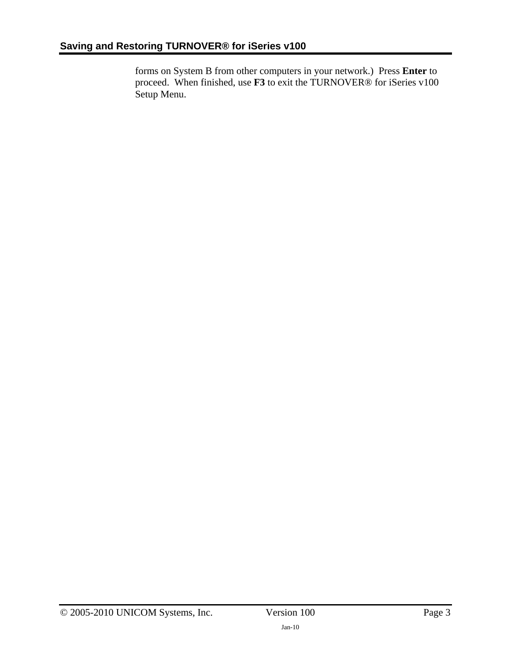forms on System B from other computers in your network.) Press **Enter** to proceed. When finished, use **F3** to exit the TURNOVER® for iSeries v100 Setup Menu.